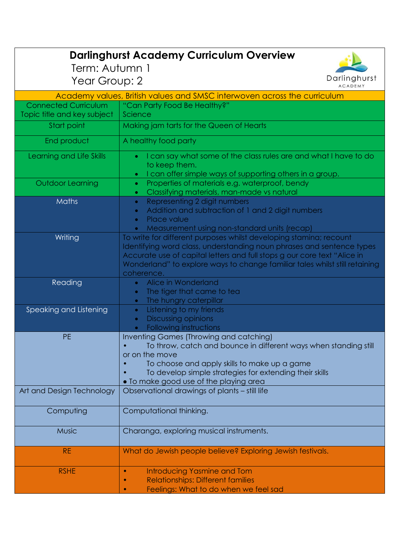| Term: Autumn 1<br>Year Group: 2                                          | <b>Darlinghurst Academy Curriculum Overview</b><br>Darlinghurst<br><b>ACADEMY</b>                                                                                                                                                                                                                                    |
|--------------------------------------------------------------------------|----------------------------------------------------------------------------------------------------------------------------------------------------------------------------------------------------------------------------------------------------------------------------------------------------------------------|
| Academy values, British values and SMSC interwoven across the curriculum |                                                                                                                                                                                                                                                                                                                      |
| <b>Connected Curriculum</b><br>Topic title and key subject               | "Can Party Food Be Healthy?"<br>Science                                                                                                                                                                                                                                                                              |
| Start point                                                              | Making jam tarts for the Queen of Hearts                                                                                                                                                                                                                                                                             |
| End product                                                              | A healthy food party                                                                                                                                                                                                                                                                                                 |
| Learning and Life Skills                                                 | I can say what some of the class rules are and what I have to do<br>to keep them.<br>I can offer simple ways of supporting others in a group.                                                                                                                                                                        |
| <b>Outdoor Learning</b>                                                  | Properties of materials e.g. waterproof, bendy<br>$\bullet$<br>Classifying materials, man-made vs natural<br>$\bullet$                                                                                                                                                                                               |
| <b>Maths</b>                                                             | Representing 2 digit numbers<br>$\bullet$<br>Addition and subtraction of 1 and 2 digit numbers<br>$\bullet$<br>Place value<br>$\bullet$<br>Measurement using non-standard units (recap)                                                                                                                              |
| Writing                                                                  | To write for different purposes whilst developing stamina; recount<br>Identifying word class, understanding noun phrases and sentence types<br>Accurate use of capital letters and full stops g our core text "Alice in<br>Wonderland" to explore ways to change familiar tales whilst still retaining<br>coherence. |
| Reading                                                                  | Alice in Wonderland<br>$\bullet$<br>The tiger that came to tea<br>$\bullet$<br>The hungry caterpillar<br>$\bullet$                                                                                                                                                                                                   |
| Speaking and Listening                                                   | Listening to my friends<br>$\bullet$<br><b>Discussing opinions</b><br>$\bullet$<br>Following instructions<br>$\bullet$                                                                                                                                                                                               |
| PE                                                                       | <b>Inventing Games (Throwing and catching)</b><br>To throw, catch and bounce in different ways when standing still<br>or on the move<br>To choose and apply skills to make up a game<br>To develop simple strategies for extending their skills<br>. To make good use of the playing area                            |
| Art and Design Technology                                                | Observational drawings of plants - still life                                                                                                                                                                                                                                                                        |
| Computing                                                                | Computational thinking.                                                                                                                                                                                                                                                                                              |
| <b>Music</b>                                                             | Charanga, exploring musical instruments.                                                                                                                                                                                                                                                                             |
| <b>RE</b>                                                                | What do Jewish people believe? Exploring Jewish festivals.                                                                                                                                                                                                                                                           |
| <b>RSHE</b>                                                              | Introducing Yasmine and Tom<br><b>Relationships: Different families</b><br>$\bullet$<br>Feelings: What to do when we feel sad                                                                                                                                                                                        |